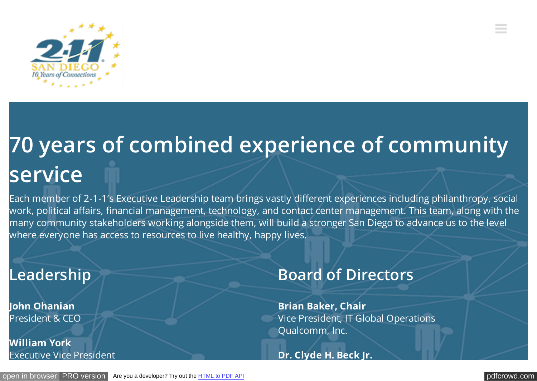

# **70 years of combined experience of community service**

Each member of 2-1-1's Executive Leadership team brings vastly different experiences including philanthropy, social work, political affairs, financial management, technology, and contact center management. This team, along with the many community stakeholders working alongside them, will build a stronger San Diego to advance us to the level where everyone has access to resources to live healthy, happy lives.

#### **Leadership**

**John Ohanian** President & CEO

**William York** Executive Vice President

#### **Board of Directors**

**Brian Baker, Chair** Vice President, IT Global Operations Qualcomm, Inc.

**Dr. Clyde H. Beck Jr.**

 $\equiv$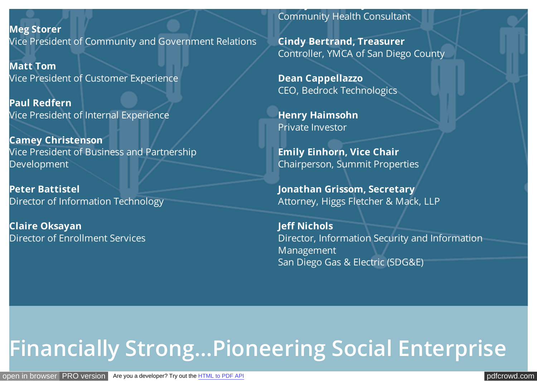**Meg Storer** Vice President of Community and Government Relations

**Matt Tom** Vice President of Customer Experience

Executive Vice President

**Paul Redfern** Vice President of Internal Experience

**Camey Christenson** Vice President of Business and Partnership **Development** 

**Peter Battistel** Director of Information Technology

**Claire Oksayan** Director of Enrollment Services Community Health Consultant

**Dr. Clyde H. Beck Jr.**

**Cindy Bertrand, Treasurer** Controller, YMCA of San Diego County

**Dean Cappellazzo** CEO, Bedrock Technologics

**Henry Haimsohn** Private Investor

**Emily Einhorn, Vice Chair** Chairperson, Summit Properties

**Jonathan Grissom, Secretary** Attorney, Higgs Fletcher & Mack, LLP

**Jeff Nichols** Director, Information Security and Information Management San Diego Gas & Electric (SDG&E)

### **Financially Strong…Pioneering Social Enterprise**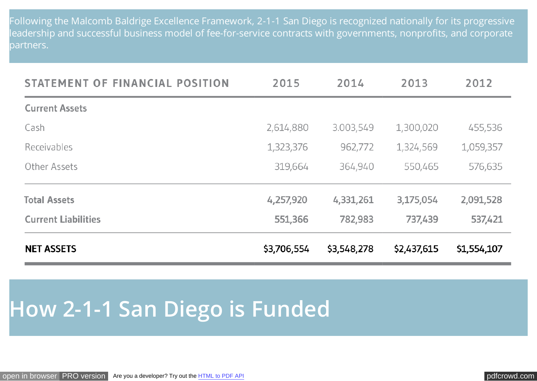Following the Malcomb Baldrige Excellence Framework, 2-1-1 San Diego is recognized nationally for its progressive leadership and successful business model of fee-for-service contracts with governments, nonprofits, and corporate partners.

| <b>STATEMENT OF FINANCIAL POSITION</b> | 2015        | 2014        | 2013        | 2012        |
|----------------------------------------|-------------|-------------|-------------|-------------|
| <b>Current Assets</b>                  |             |             |             |             |
| Cash                                   | 2,614,880   | 3.003,549   | 1,300,020   | 455,536     |
| Receivables                            | 1,323,376   | 962,772     | 1,324,569   | 1,059,357   |
| Other Assets                           | 319,664     | 364,940     | 550,465     | 576,635     |
| <b>Total Assets</b>                    | 4,257,920   | 4,331,261   | 3,175,054   | 2,091,528   |
| <b>Current Liabilities</b>             | 551,366     | 782,983     | 737,439     | 537,421     |
| <b>NET ASSETS</b>                      | \$3,706,554 | \$3,548,278 | \$2,437,615 | \$1,554,107 |

## **How 2-1-1 San Diego is Funded**

[open in browser](http://pdfcrowd.com/redirect/?url=http%3a%2f%2f211connections.org%2fwho-we-are%2f&id=ma-161109185455-490ec205) [PRO version](http://pdfcrowd.com/customize/) Are you a developer? Try out th[e HTML to PDF API](http://pdfcrowd.com/html-to-pdf-api/?ref=pdf) position and the example of the state of the state of [pdfcrowd.com](http://pdfcrowd.com)